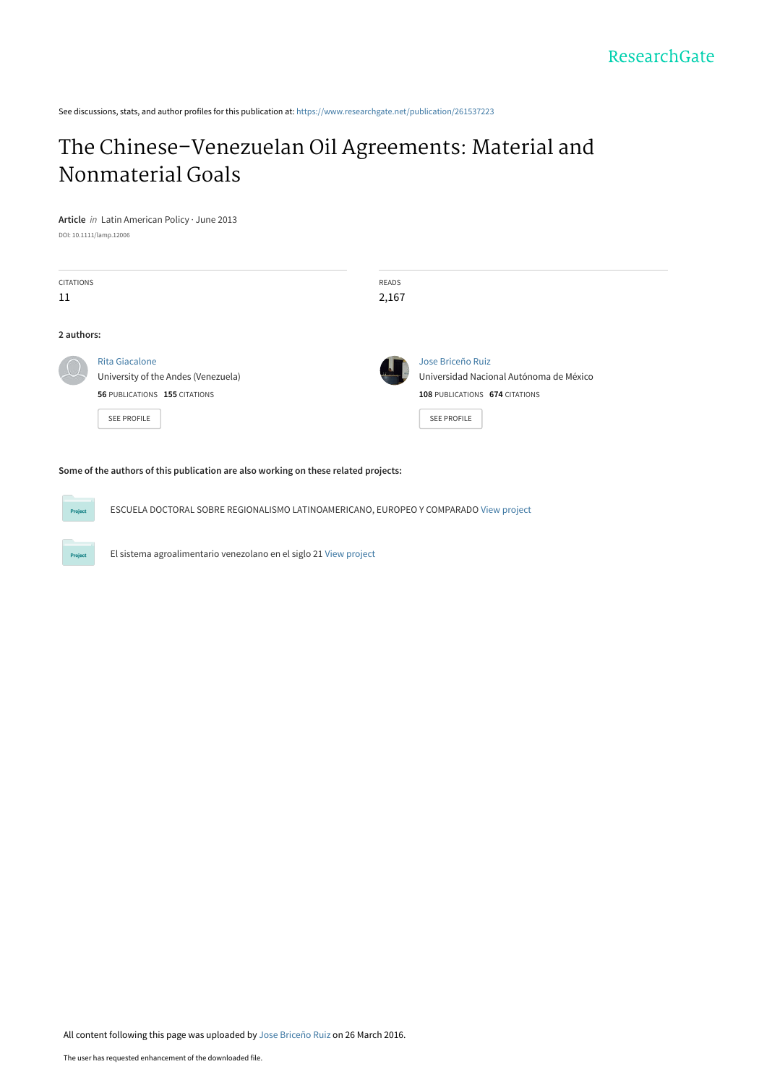See discussions, stats, and author profiles for this publication at: [https://www.researchgate.net/publication/261537223](https://www.researchgate.net/publication/261537223_The_Chinese-Venezuelan_Oil_Agreements_Material_and_Nonmaterial_Goals?enrichId=rgreq-82be164a93af0f545bacc57544e03ad9-XXX&enrichSource=Y292ZXJQYWdlOzI2MTUzNzIyMztBUzozNDM3NDQzOTUxMzcwMjhAMTQ1ODk2NjQ1ODczNg%3D%3D&el=1_x_2&_esc=publicationCoverPdf)

## [The Chinese–Venezuelan Oil Agreements: Material and](https://www.researchgate.net/publication/261537223_The_Chinese-Venezuelan_Oil_Agreements_Material_and_Nonmaterial_Goals?enrichId=rgreq-82be164a93af0f545bacc57544e03ad9-XXX&enrichSource=Y292ZXJQYWdlOzI2MTUzNzIyMztBUzozNDM3NDQzOTUxMzcwMjhAMTQ1ODk2NjQ1ODczNg%3D%3D&el=1_x_3&_esc=publicationCoverPdf) Nonmaterial Goals

**Article** in Latin American Policy · June 2013 DOI: 10.1111/lamp.12006

|                                     | READS                          |                                         |
|-------------------------------------|--------------------------------|-----------------------------------------|
|                                     | 2,167                          |                                         |
|                                     |                                |                                         |
|                                     |                                |                                         |
| Rita Giacalone                      |                                | Jose Briceño Ruiz                       |
| University of the Andes (Venezuela) |                                | Universidad Nacional Autónoma de México |
| 56 PUBLICATIONS 155 CITATIONS       |                                | 108 PUBLICATIONS 674 CITATIONS          |
| <b>SEE PROFILE</b>                  |                                | <b>SEE PROFILE</b>                      |
|                                     |                                |                                         |
|                                     |                                |                                         |
|                                     | <b>CITATIONS</b><br>2 authors: |                                         |

#### **Some of the authors of this publication are also working on these related projects:**

ESCUELA DOCTORAL SOBRE REGIONALISMO LATINOAMERICANO, EUROPEO Y COMPARADO [View project](https://www.researchgate.net/project/ESCUELA-DOCTORAL-SOBRE-REGIONALISMO-LATINOAMERICANO-EUROPEO-Y-COMPARADO?enrichId=rgreq-82be164a93af0f545bacc57544e03ad9-XXX&enrichSource=Y292ZXJQYWdlOzI2MTUzNzIyMztBUzozNDM3NDQzOTUxMzcwMjhAMTQ1ODk2NjQ1ODczNg%3D%3D&el=1_x_9&_esc=publicationCoverPdf)

El sistema agroalimentario venezolano en el siglo 21 [View project](https://www.researchgate.net/project/El-sistema-agroalimentario-venezolano-en-el-siglo-21?enrichId=rgreq-82be164a93af0f545bacc57544e03ad9-XXX&enrichSource=Y292ZXJQYWdlOzI2MTUzNzIyMztBUzozNDM3NDQzOTUxMzcwMjhAMTQ1ODk2NjQ1ODczNg%3D%3D&el=1_x_9&_esc=publicationCoverPdf)

All content following this page was uploaded by [Jose Briceño Ruiz](https://www.researchgate.net/profile/Jose-Briceno-Ruiz?enrichId=rgreq-82be164a93af0f545bacc57544e03ad9-XXX&enrichSource=Y292ZXJQYWdlOzI2MTUzNzIyMztBUzozNDM3NDQzOTUxMzcwMjhAMTQ1ODk2NjQ1ODczNg%3D%3D&el=1_x_10&_esc=publicationCoverPdf) on 26 March 2016.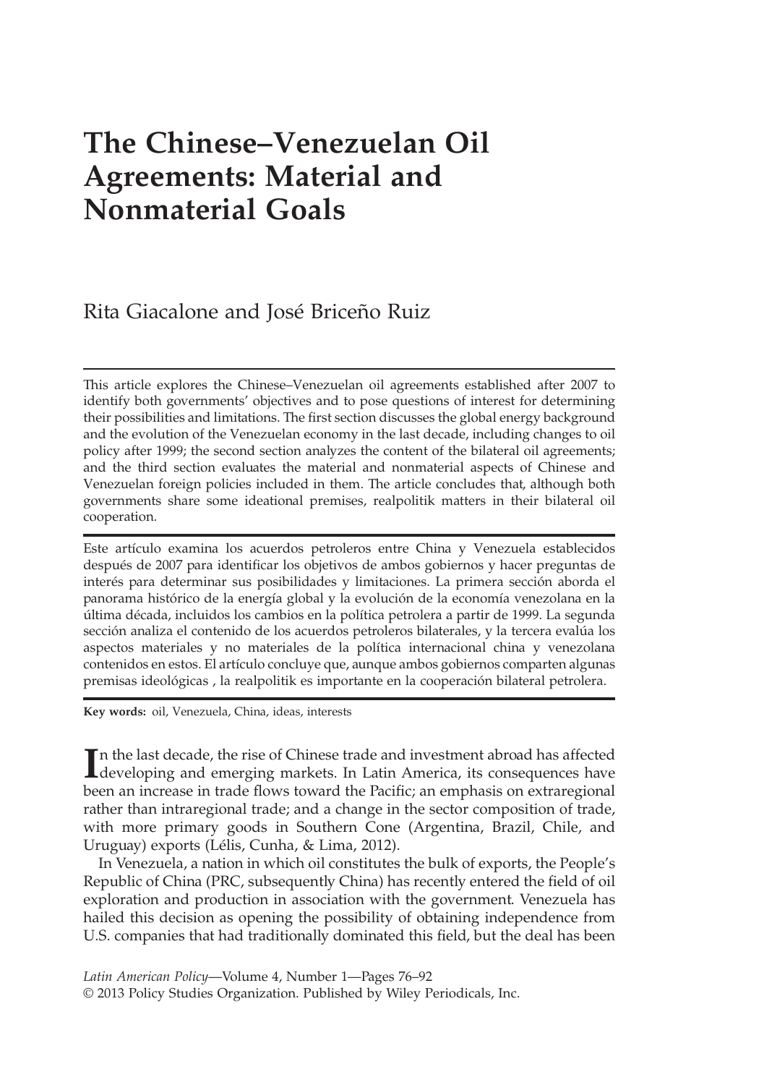# **The Chinese–Venezuelan Oil Agreements: Material and Nonmaterial Goals**

## Rita Giacalone and José Briceño Ruiz

This article explores the Chinese–Venezuelan oil agreements established after 2007 to identify both governments' objectives and to pose questions of interest for determining their possibilities and limitations. The first section discusses the global energy background and the evolution of the Venezuelan economy in the last decade, including changes to oil policy after 1999; the second section analyzes the content of the bilateral oil agreements; and the third section evaluates the material and nonmaterial aspects of Chinese and Venezuelan foreign policies included in them. The article concludes that, although both governments share some ideational premises, realpolitik matters in their bilateral oil cooperation.

Este artículo examina los acuerdos petroleros entre China y Venezuela establecidos después de 2007 para identificar los objetivos de ambos gobiernos y hacer preguntas de interés para determinar sus posibilidades y limitaciones. La primera sección aborda el panorama histórico de la energía global y la evolución de la economía venezolana en la última década, incluidos los cambios en la política petrolera a partir de 1999. La segunda sección analiza el contenido de los acuerdos petroleros bilaterales, y la tercera evalúa los aspectos materiales y no materiales de la política internacional china y venezolana contenidos en estos. El artículo concluye que, aunque ambos gobiernos comparten algunas premisas ideológicas , la realpolitik es importante en la cooperación bilateral petrolera.

**Key words:** oil, Venezuela, China, ideas, interests

In the last decade, the rise of Chinese trade and investment abroad has affected developing and emerging markets. In Latin America, its consequences have developing and emerging markets. In Latin America, its consequences have been an increase in trade flows toward the Pacific; an emphasis on extraregional rather than intraregional trade; and a change in the sector composition of trade, with more primary goods in Southern Cone (Argentina, Brazil, Chile, and Uruguay) exports (Lélis, Cunha, & Lima, 2012).

In Venezuela, a nation in which oil constitutes the bulk of exports, the People's Republic of China (PRC, subsequently China) has recently entered the field of oil exploration and production in association with the government. Venezuela has hailed this decision as opening the possibility of obtaining independence from U.S. companies that had traditionally dominated this field, but the deal has been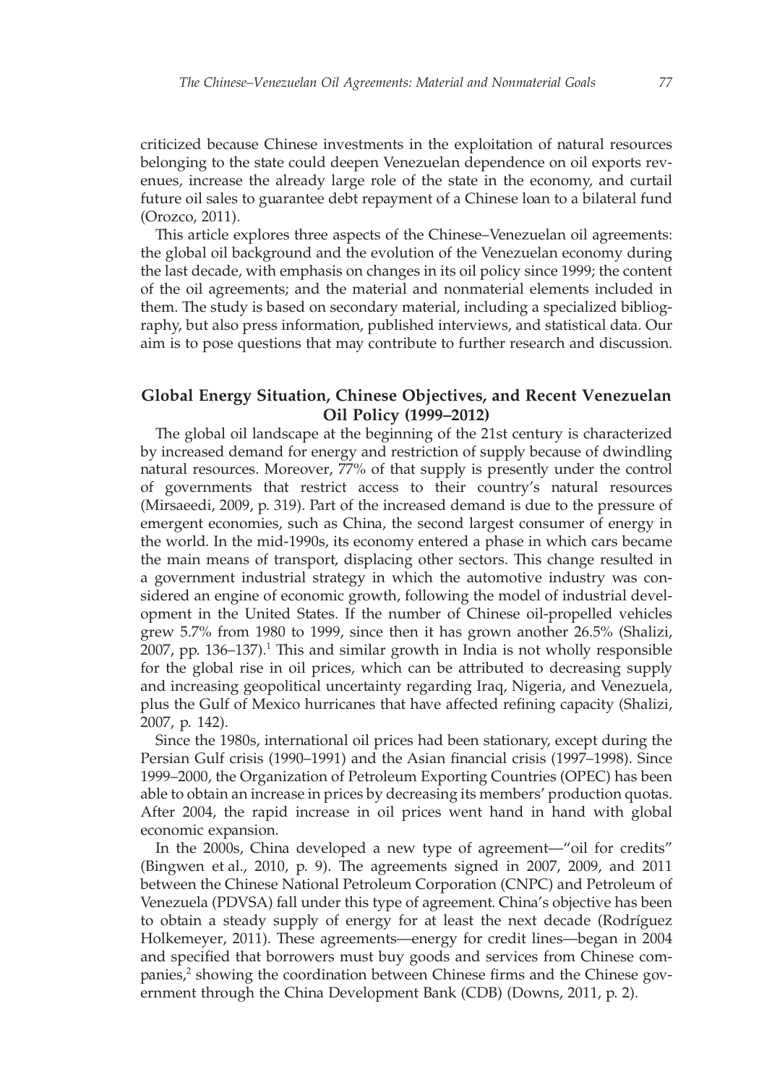criticized because Chinese investments in the exploitation of natural resources belonging to the state could deepen Venezuelan dependence on oil exports revenues, increase the already large role of the state in the economy, and curtail future oil sales to guarantee debt repayment of a Chinese loan to a bilateral fund (Orozco, 2011).

This article explores three aspects of the Chinese–Venezuelan oil agreements: the global oil background and the evolution of the Venezuelan economy during the last decade, with emphasis on changes in its oil policy since 1999; the content of the oil agreements; and the material and nonmaterial elements included in them. The study is based on secondary material, including a specialized bibliography, but also press information, published interviews, and statistical data. Our aim is to pose questions that may contribute to further research and discussion.

#### **Global Energy Situation, Chinese Objectives, and Recent Venezuelan Oil Policy (1999–2012)**

The global oil landscape at the beginning of the 21st century is characterized by increased demand for energy and restriction of supply because of dwindling natural resources. Moreover, 77% of that supply is presently under the control of governments that restrict access to their country's natural resources (Mirsaeedi, 2009, p. 319). Part of the increased demand is due to the pressure of emergent economies, such as China, the second largest consumer of energy in the world. In the mid-1990s, its economy entered a phase in which cars became the main means of transport, displacing other sectors. This change resulted in a government industrial strategy in which the automotive industry was considered an engine of economic growth, following the model of industrial development in the United States. If the number of Chinese oil-propelled vehicles grew 5.7% from 1980 to 1999, since then it has grown another 26.5% (Shalizi,  $2007$ , pp.  $136-137$ ).<sup>1</sup> This and similar growth in India is not wholly responsible for the global rise in oil prices, which can be attributed to decreasing supply and increasing geopolitical uncertainty regarding Iraq, Nigeria, and Venezuela, plus the Gulf of Mexico hurricanes that have affected refining capacity (Shalizi, 2007, p. 142).

Since the 1980s, international oil prices had been stationary, except during the Persian Gulf crisis (1990–1991) and the Asian financial crisis (1997–1998). Since 1999–2000, the Organization of Petroleum Exporting Countries (OPEC) has been able to obtain an increase in prices by decreasing its members' production quotas. After 2004, the rapid increase in oil prices went hand in hand with global economic expansion.

In the 2000s, China developed a new type of agreement—"oil for credits" (Bingwen et al., 2010, p. 9). The agreements signed in 2007, 2009, and 2011 between the Chinese National Petroleum Corporation (CNPC) and Petroleum of Venezuela (PDVSA) fall under this type of agreement. China's objective has been to obtain a steady supply of energy for at least the next decade (Rodríguez Holkemeyer, 2011). These agreements—energy for credit lines—began in 2004 and specified that borrowers must buy goods and services from Chinese companies,<sup>2</sup> showing the coordination between Chinese firms and the Chinese government through the China Development Bank (CDB) (Downs, 2011, p. 2).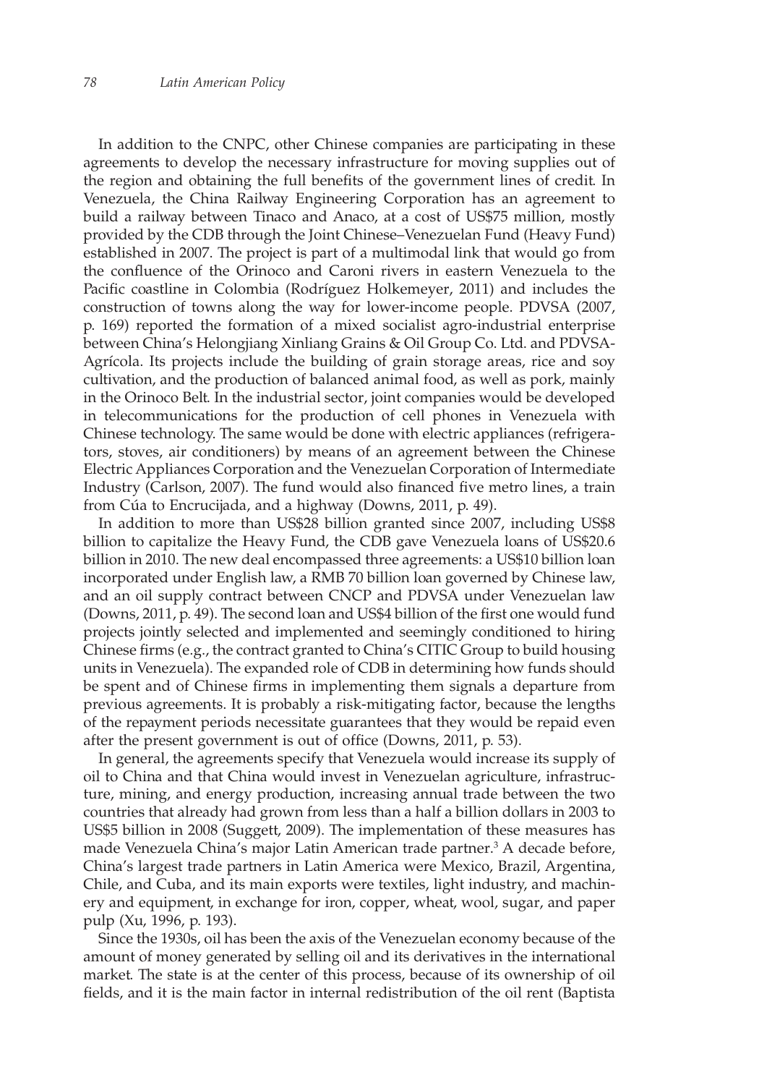In addition to the CNPC, other Chinese companies are participating in these agreements to develop the necessary infrastructure for moving supplies out of the region and obtaining the full benefits of the government lines of credit. In Venezuela, the China Railway Engineering Corporation has an agreement to build a railway between Tinaco and Anaco, at a cost of US\$75 million, mostly provided by the CDB through the Joint Chinese–Venezuelan Fund (Heavy Fund) established in 2007. The project is part of a multimodal link that would go from the confluence of the Orinoco and Caroni rivers in eastern Venezuela to the Pacific coastline in Colombia (Rodríguez Holkemeyer, 2011) and includes the construction of towns along the way for lower-income people. PDVSA (2007, p. 169) reported the formation of a mixed socialist agro-industrial enterprise between China's Helongjiang Xinliang Grains & Oil Group Co. Ltd. and PDVSA-Agrícola. Its projects include the building of grain storage areas, rice and soy cultivation, and the production of balanced animal food, as well as pork, mainly in the Orinoco Belt. In the industrial sector, joint companies would be developed in telecommunications for the production of cell phones in Venezuela with Chinese technology. The same would be done with electric appliances (refrigerators, stoves, air conditioners) by means of an agreement between the Chinese Electric Appliances Corporation and the Venezuelan Corporation of Intermediate Industry (Carlson, 2007). The fund would also financed five metro lines, a train from Cúa to Encrucijada, and a highway (Downs, 2011, p. 49).

In addition to more than US\$28 billion granted since 2007, including US\$8 billion to capitalize the Heavy Fund, the CDB gave Venezuela loans of US\$20.6 billion in 2010. The new deal encompassed three agreements: a US\$10 billion loan incorporated under English law, a RMB 70 billion loan governed by Chinese law, and an oil supply contract between CNCP and PDVSA under Venezuelan law (Downs, 2011, p. 49). The second loan and US\$4 billion of the first one would fund projects jointly selected and implemented and seemingly conditioned to hiring Chinese firms (e.g., the contract granted to China's CITIC Group to build housing units in Venezuela). The expanded role of CDB in determining how funds should be spent and of Chinese firms in implementing them signals a departure from previous agreements. It is probably a risk-mitigating factor, because the lengths of the repayment periods necessitate guarantees that they would be repaid even after the present government is out of office (Downs, 2011, p. 53).

In general, the agreements specify that Venezuela would increase its supply of oil to China and that China would invest in Venezuelan agriculture, infrastructure, mining, and energy production, increasing annual trade between the two countries that already had grown from less than a half a billion dollars in 2003 to US\$5 billion in 2008 (Suggett, 2009). The implementation of these measures has made Venezuela China's major Latin American trade partner.<sup>3</sup> A decade before, China's largest trade partners in Latin America were Mexico, Brazil, Argentina, Chile, and Cuba, and its main exports were textiles, light industry, and machinery and equipment, in exchange for iron, copper, wheat, wool, sugar, and paper pulp (Xu, 1996, p. 193).

Since the 1930s, oil has been the axis of the Venezuelan economy because of the amount of money generated by selling oil and its derivatives in the international market. The state is at the center of this process, because of its ownership of oil fields, and it is the main factor in internal redistribution of the oil rent (Baptista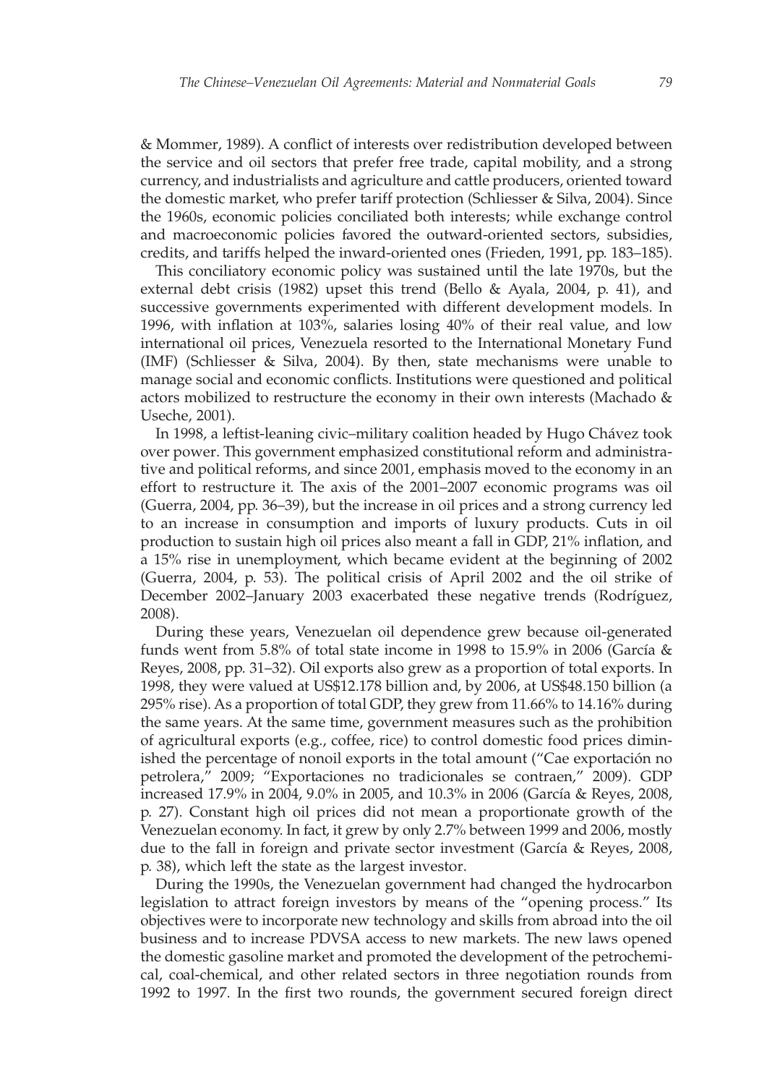& Mommer, 1989). A conflict of interests over redistribution developed between the service and oil sectors that prefer free trade, capital mobility, and a strong currency, and industrialists and agriculture and cattle producers, oriented toward the domestic market, who prefer tariff protection (Schliesser & Silva, 2004). Since the 1960s, economic policies conciliated both interests; while exchange control and macroeconomic policies favored the outward-oriented sectors, subsidies, credits, and tariffs helped the inward-oriented ones (Frieden, 1991, pp. 183–185).

This conciliatory economic policy was sustained until the late 1970s, but the external debt crisis (1982) upset this trend (Bello & Ayala, 2004, p. 41), and successive governments experimented with different development models. In 1996, with inflation at 103%, salaries losing 40% of their real value, and low international oil prices, Venezuela resorted to the International Monetary Fund (IMF) (Schliesser & Silva, 2004). By then, state mechanisms were unable to manage social and economic conflicts. Institutions were questioned and political actors mobilized to restructure the economy in their own interests (Machado & Useche, 2001).

In 1998, a leftist-leaning civic–military coalition headed by Hugo Chávez took over power. This government emphasized constitutional reform and administrative and political reforms, and since 2001, emphasis moved to the economy in an effort to restructure it. The axis of the 2001–2007 economic programs was oil (Guerra, 2004, pp. 36–39), but the increase in oil prices and a strong currency led to an increase in consumption and imports of luxury products. Cuts in oil production to sustain high oil prices also meant a fall in GDP, 21% inflation, and a 15% rise in unemployment, which became evident at the beginning of 2002 (Guerra, 2004, p. 53). The political crisis of April 2002 and the oil strike of December 2002–January 2003 exacerbated these negative trends (Rodríguez, 2008).

During these years, Venezuelan oil dependence grew because oil-generated funds went from 5.8% of total state income in 1998 to 15.9% in 2006 (García & Reyes, 2008, pp. 31–32). Oil exports also grew as a proportion of total exports. In 1998, they were valued at US\$12.178 billion and, by 2006, at US\$48.150 billion (a 295% rise). As a proportion of total GDP, they grew from 11.66% to 14.16% during the same years. At the same time, government measures such as the prohibition of agricultural exports (e.g., coffee, rice) to control domestic food prices diminished the percentage of nonoil exports in the total amount ("Cae exportación no petrolera," 2009; "Exportaciones no tradicionales se contraen," 2009). GDP increased 17.9% in 2004, 9.0% in 2005, and 10.3% in 2006 (García & Reyes, 2008, p. 27). Constant high oil prices did not mean a proportionate growth of the Venezuelan economy. In fact, it grew by only 2.7% between 1999 and 2006, mostly due to the fall in foreign and private sector investment (García & Reyes, 2008, p. 38), which left the state as the largest investor.

During the 1990s, the Venezuelan government had changed the hydrocarbon legislation to attract foreign investors by means of the "opening process." Its objectives were to incorporate new technology and skills from abroad into the oil business and to increase PDVSA access to new markets. The new laws opened the domestic gasoline market and promoted the development of the petrochemical, coal-chemical, and other related sectors in three negotiation rounds from 1992 to 1997. In the first two rounds, the government secured foreign direct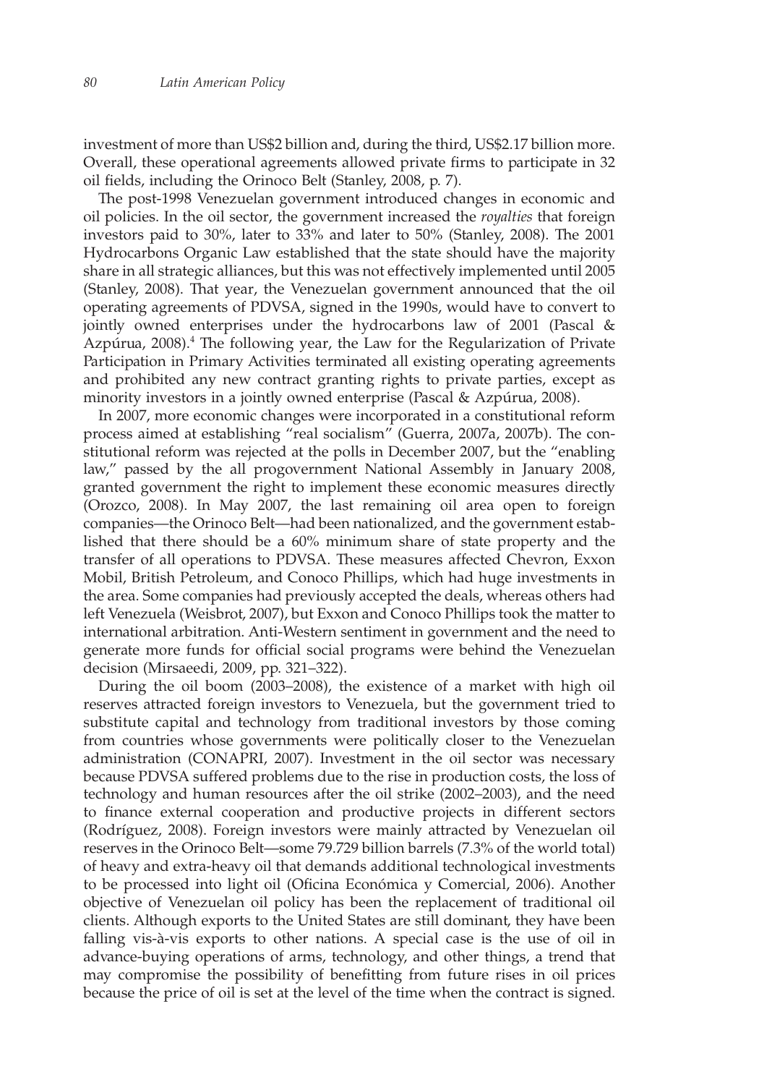investment of more than US\$2 billion and, during the third, US\$2.17 billion more. Overall, these operational agreements allowed private firms to participate in 32 oil fields, including the Orinoco Belt (Stanley, 2008, p. 7).

The post-1998 Venezuelan government introduced changes in economic and oil policies. In the oil sector, the government increased the *royalties* that foreign investors paid to 30%, later to 33% and later to 50% (Stanley, 2008). The 2001 Hydrocarbons Organic Law established that the state should have the majority share in all strategic alliances, but this was not effectively implemented until 2005 (Stanley, 2008). That year, the Venezuelan government announced that the oil operating agreements of PDVSA, signed in the 1990s, would have to convert to jointly owned enterprises under the hydrocarbons law of 2001 (Pascal & Azpúrua, 2008).<sup>4</sup> The following year, the Law for the Regularization of Private Participation in Primary Activities terminated all existing operating agreements and prohibited any new contract granting rights to private parties, except as minority investors in a jointly owned enterprise (Pascal & Azpúrua, 2008).

In 2007, more economic changes were incorporated in a constitutional reform process aimed at establishing "real socialism" (Guerra, 2007a, 2007b). The constitutional reform was rejected at the polls in December 2007, but the "enabling law," passed by the all progovernment National Assembly in January 2008, granted government the right to implement these economic measures directly (Orozco, 2008). In May 2007, the last remaining oil area open to foreign companies—the Orinoco Belt—had been nationalized, and the government established that there should be a 60% minimum share of state property and the transfer of all operations to PDVSA. These measures affected Chevron, Exxon Mobil, British Petroleum, and Conoco Phillips, which had huge investments in the area. Some companies had previously accepted the deals, whereas others had left Venezuela (Weisbrot, 2007), but Exxon and Conoco Phillips took the matter to international arbitration. Anti-Western sentiment in government and the need to generate more funds for official social programs were behind the Venezuelan decision (Mirsaeedi, 2009, pp. 321–322).

During the oil boom (2003–2008), the existence of a market with high oil reserves attracted foreign investors to Venezuela, but the government tried to substitute capital and technology from traditional investors by those coming from countries whose governments were politically closer to the Venezuelan administration (CONAPRI, 2007). Investment in the oil sector was necessary because PDVSA suffered problems due to the rise in production costs, the loss of technology and human resources after the oil strike (2002–2003), and the need to finance external cooperation and productive projects in different sectors (Rodríguez, 2008). Foreign investors were mainly attracted by Venezuelan oil reserves in the Orinoco Belt—some 79.729 billion barrels (7.3% of the world total) of heavy and extra-heavy oil that demands additional technological investments to be processed into light oil (Oficina Económica y Comercial, 2006). Another objective of Venezuelan oil policy has been the replacement of traditional oil clients. Although exports to the United States are still dominant, they have been falling vis-à-vis exports to other nations. A special case is the use of oil in advance-buying operations of arms, technology, and other things, a trend that may compromise the possibility of benefitting from future rises in oil prices because the price of oil is set at the level of the time when the contract is signed.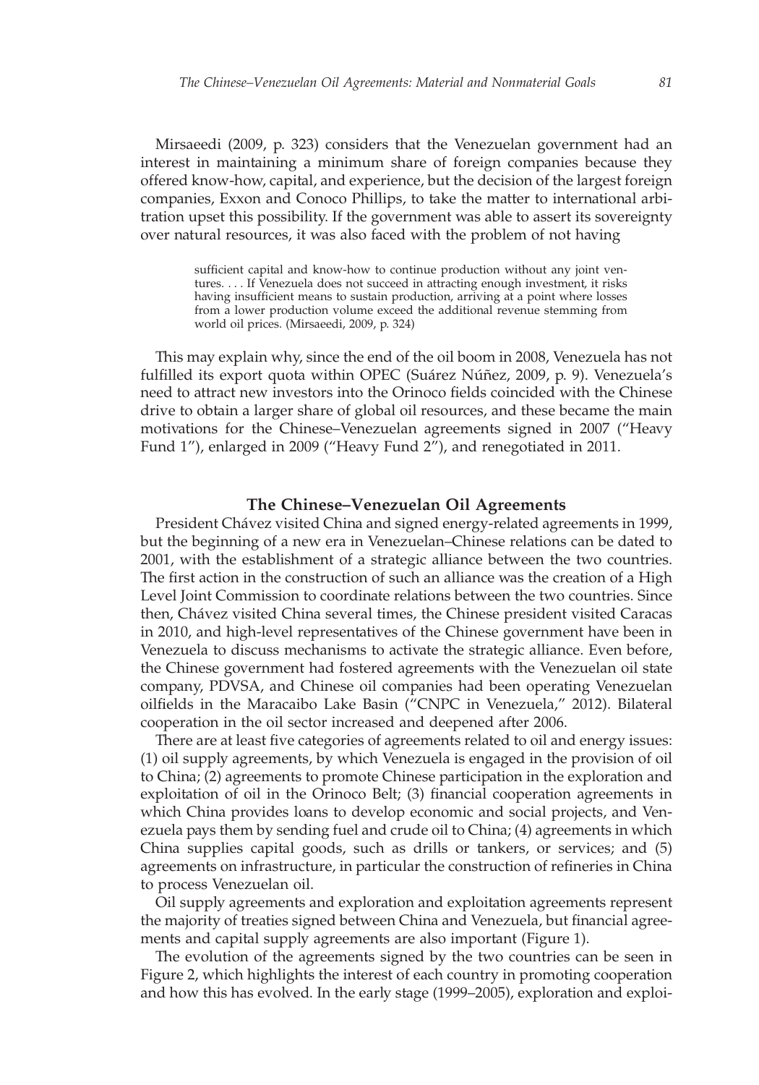Mirsaeedi (2009, p. 323) considers that the Venezuelan government had an interest in maintaining a minimum share of foreign companies because they offered know-how, capital, and experience, but the decision of the largest foreign companies, Exxon and Conoco Phillips, to take the matter to international arbitration upset this possibility. If the government was able to assert its sovereignty over natural resources, it was also faced with the problem of not having

sufficient capital and know-how to continue production without any joint ventures. . . . If Venezuela does not succeed in attracting enough investment, it risks having insufficient means to sustain production, arriving at a point where losses from a lower production volume exceed the additional revenue stemming from world oil prices. (Mirsaeedi, 2009, p. 324)

This may explain why, since the end of the oil boom in 2008, Venezuela has not fulfilled its export quota within OPEC (Suárez Núñez, 2009, p. 9). Venezuela's need to attract new investors into the Orinoco fields coincided with the Chinese drive to obtain a larger share of global oil resources, and these became the main motivations for the Chinese–Venezuelan agreements signed in 2007 ("Heavy Fund 1"), enlarged in 2009 ("Heavy Fund 2"), and renegotiated in 2011.

#### **The Chinese–Venezuelan Oil Agreements**

President Chávez visited China and signed energy-related agreements in 1999, but the beginning of a new era in Venezuelan–Chinese relations can be dated to 2001, with the establishment of a strategic alliance between the two countries. The first action in the construction of such an alliance was the creation of a High Level Joint Commission to coordinate relations between the two countries. Since then, Chávez visited China several times, the Chinese president visited Caracas in 2010, and high-level representatives of the Chinese government have been in Venezuela to discuss mechanisms to activate the strategic alliance. Even before, the Chinese government had fostered agreements with the Venezuelan oil state company, PDVSA, and Chinese oil companies had been operating Venezuelan oilfields in the Maracaibo Lake Basin ("CNPC in Venezuela," 2012). Bilateral cooperation in the oil sector increased and deepened after 2006.

There are at least five categories of agreements related to oil and energy issues: (1) oil supply agreements, by which Venezuela is engaged in the provision of oil to China; (2) agreements to promote Chinese participation in the exploration and exploitation of oil in the Orinoco Belt; (3) financial cooperation agreements in which China provides loans to develop economic and social projects, and Venezuela pays them by sending fuel and crude oil to China; (4) agreements in which China supplies capital goods, such as drills or tankers, or services; and (5) agreements on infrastructure, in particular the construction of refineries in China to process Venezuelan oil.

Oil supply agreements and exploration and exploitation agreements represent the majority of treaties signed between China and Venezuela, but financial agreements and capital supply agreements are also important (Figure 1).

The evolution of the agreements signed by the two countries can be seen in Figure 2, which highlights the interest of each country in promoting cooperation and how this has evolved. In the early stage (1999–2005), exploration and exploi-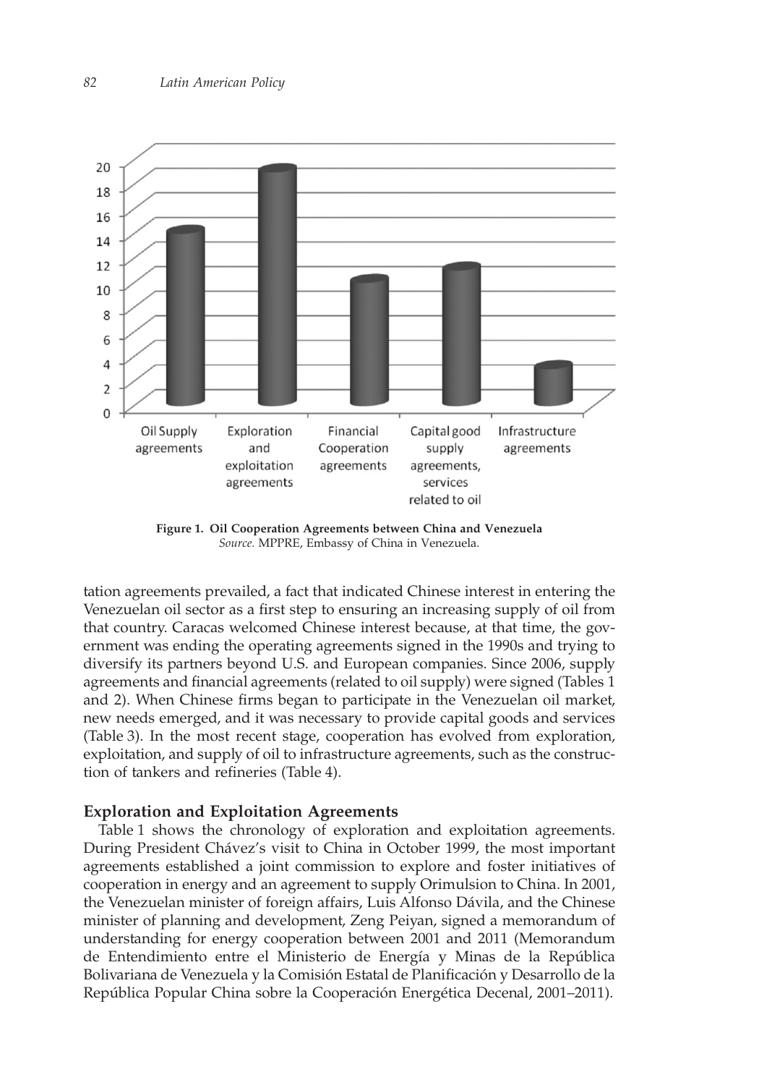

**Figure 1. Oil Cooperation Agreements between China and Venezuela** *Source.* MPPRE, Embassy of China in Venezuela.

tation agreements prevailed, a fact that indicated Chinese interest in entering the Venezuelan oil sector as a first step to ensuring an increasing supply of oil from that country. Caracas welcomed Chinese interest because, at that time, the government was ending the operating agreements signed in the 1990s and trying to diversify its partners beyond U.S. and European companies. Since 2006, supply agreements and financial agreements (related to oil supply) were signed (Tables 1 and 2). When Chinese firms began to participate in the Venezuelan oil market, new needs emerged, and it was necessary to provide capital goods and services (Table 3). In the most recent stage, cooperation has evolved from exploration, exploitation, and supply of oil to infrastructure agreements, such as the construction of tankers and refineries (Table 4).

#### **Exploration and Exploitation Agreements**

Table 1 shows the chronology of exploration and exploitation agreements. During President Chávez's visit to China in October 1999, the most important agreements established a joint commission to explore and foster initiatives of cooperation in energy and an agreement to supply Orimulsion to China. In 2001, the Venezuelan minister of foreign affairs, Luis Alfonso Dávila, and the Chinese minister of planning and development, Zeng Peiyan, signed a memorandum of understanding for energy cooperation between 2001 and 2011 (Memorandum de Entendimiento entre el Ministerio de Energía y Minas de la República Bolivariana de Venezuela y la Comisión Estatal de Planificación y Desarrollo de la República Popular China sobre la Cooperación Energética Decenal, 2001–2011).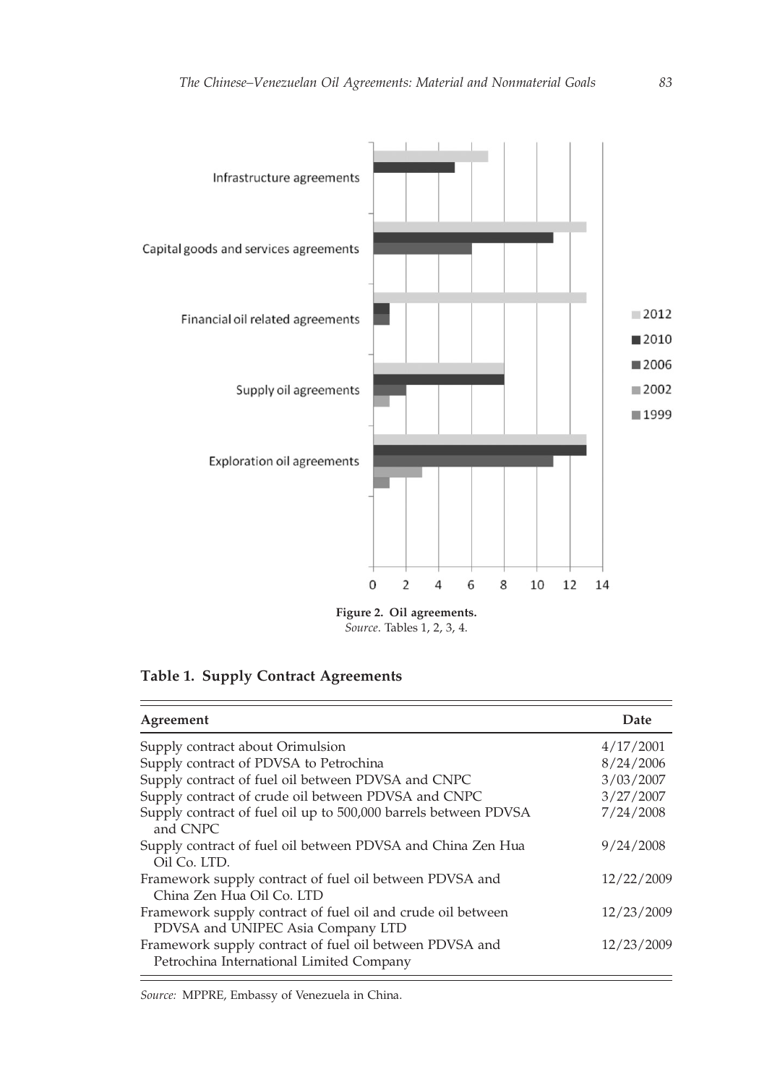

**Figure 2. Oil agreements.** *Source*. Tables 1, 2, 3, 4.

**Table 1. Supply Contract Agreements**

| Agreement                                                                                           | Date       |
|-----------------------------------------------------------------------------------------------------|------------|
| Supply contract about Orimulsion                                                                    | 4/17/2001  |
| Supply contract of PDVSA to Petrochina                                                              | 8/24/2006  |
| Supply contract of fuel oil between PDVSA and CNPC                                                  | 3/03/2007  |
| Supply contract of crude oil between PDVSA and CNPC                                                 | 3/27/2007  |
| Supply contract of fuel oil up to 500,000 barrels between PDVSA<br>and CNPC                         | 7/24/2008  |
| Supply contract of fuel oil between PDVSA and China Zen Hua<br>Oil Co. LTD.                         | 9/24/2008  |
| Framework supply contract of fuel oil between PDVSA and<br>China Zen Hua Oil Co. LTD                | 12/22/2009 |
| Framework supply contract of fuel oil and crude oil between<br>PDVSA and UNIPEC Asia Company LTD    | 12/23/2009 |
| Framework supply contract of fuel oil between PDVSA and<br>Petrochina International Limited Company | 12/23/2009 |

*Source:* MPPRE, Embassy of Venezuela in China.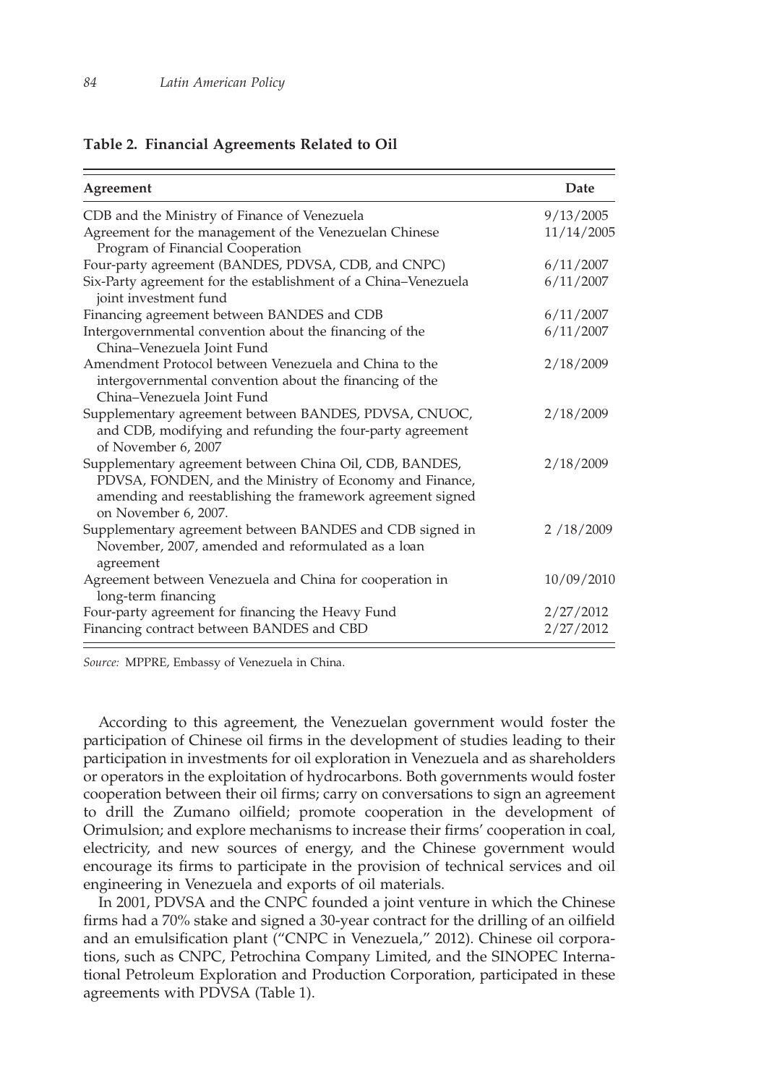#### **Table 2. Financial Agreements Related to Oil**

| Agreement                                                                                                                                                                                                | Date                   |
|----------------------------------------------------------------------------------------------------------------------------------------------------------------------------------------------------------|------------------------|
| CDB and the Ministry of Finance of Venezuela                                                                                                                                                             | 9/13/2005              |
| Agreement for the management of the Venezuelan Chinese<br>Program of Financial Cooperation                                                                                                               | 11/14/2005             |
| Four-party agreement (BANDES, PDVSA, CDB, and CNPC)                                                                                                                                                      | 6/11/2007              |
| Six-Party agreement for the establishment of a China-Venezuela<br>joint investment fund                                                                                                                  | 6/11/2007              |
| Financing agreement between BANDES and CDB                                                                                                                                                               | 6/11/2007              |
| Intergovernmental convention about the financing of the<br>China-Venezuela Joint Fund                                                                                                                    | 6/11/2007              |
| Amendment Protocol between Venezuela and China to the<br>intergovernmental convention about the financing of the<br>China-Venezuela Joint Fund                                                           | 2/18/2009              |
| Supplementary agreement between BANDES, PDVSA, CNUOC,<br>and CDB, modifying and refunding the four-party agreement<br>of November 6, 2007                                                                | 2/18/2009              |
| Supplementary agreement between China Oil, CDB, BANDES,<br>PDVSA, FONDEN, and the Ministry of Economy and Finance,<br>amending and reestablishing the framework agreement signed<br>on November 6, 2007. | 2/18/2009              |
| Supplementary agreement between BANDES and CDB signed in<br>November, 2007, amended and reformulated as a loan<br>agreement                                                                              | 2/18/2009              |
| Agreement between Venezuela and China for cooperation in<br>long-term financing                                                                                                                          | 10/09/2010             |
| Four-party agreement for financing the Heavy Fund<br>Financing contract between BANDES and CBD                                                                                                           | 2/27/2012<br>2/27/2012 |

*Source:* MPPRE, Embassy of Venezuela in China.

According to this agreement, the Venezuelan government would foster the participation of Chinese oil firms in the development of studies leading to their participation in investments for oil exploration in Venezuela and as shareholders or operators in the exploitation of hydrocarbons. Both governments would foster cooperation between their oil firms; carry on conversations to sign an agreement to drill the Zumano oilfield; promote cooperation in the development of Orimulsion; and explore mechanisms to increase their firms' cooperation in coal, electricity, and new sources of energy, and the Chinese government would encourage its firms to participate in the provision of technical services and oil engineering in Venezuela and exports of oil materials.

In 2001, PDVSA and the CNPC founded a joint venture in which the Chinese firms had a 70% stake and signed a 30-year contract for the drilling of an oilfield and an emulsification plant ("CNPC in Venezuela," 2012). Chinese oil corporations, such as CNPC, Petrochina Company Limited, and the SINOPEC International Petroleum Exploration and Production Corporation, participated in these agreements with PDVSA (Table 1).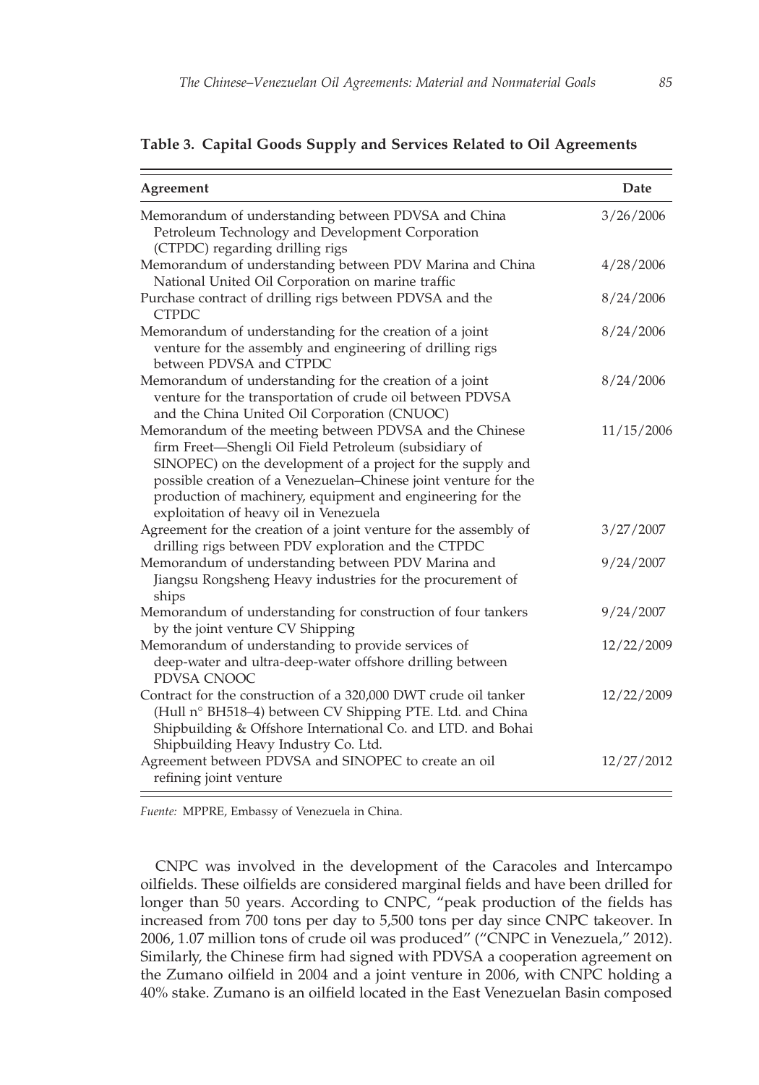| Agreement                                                                                                                                                                                                                                                                                                                                                  | Date       |
|------------------------------------------------------------------------------------------------------------------------------------------------------------------------------------------------------------------------------------------------------------------------------------------------------------------------------------------------------------|------------|
| Memorandum of understanding between PDVSA and China<br>Petroleum Technology and Development Corporation                                                                                                                                                                                                                                                    | 3/26/2006  |
| (CTPDC) regarding drilling rigs                                                                                                                                                                                                                                                                                                                            |            |
| Memorandum of understanding between PDV Marina and China<br>National United Oil Corporation on marine traffic                                                                                                                                                                                                                                              | 4/28/2006  |
| Purchase contract of drilling rigs between PDVSA and the<br><b>CTPDC</b>                                                                                                                                                                                                                                                                                   | 8/24/2006  |
| Memorandum of understanding for the creation of a joint<br>venture for the assembly and engineering of drilling rigs<br>between PDVSA and CTPDC                                                                                                                                                                                                            | 8/24/2006  |
| Memorandum of understanding for the creation of a joint<br>venture for the transportation of crude oil between PDVSA<br>and the China United Oil Corporation (CNUOC)                                                                                                                                                                                       | 8/24/2006  |
| Memorandum of the meeting between PDVSA and the Chinese<br>firm Freet-Shengli Oil Field Petroleum (subsidiary of<br>SINOPEC) on the development of a project for the supply and<br>possible creation of a Venezuelan-Chinese joint venture for the<br>production of machinery, equipment and engineering for the<br>exploitation of heavy oil in Venezuela | 11/15/2006 |
| Agreement for the creation of a joint venture for the assembly of<br>drilling rigs between PDV exploration and the CTPDC                                                                                                                                                                                                                                   | 3/27/2007  |
| Memorandum of understanding between PDV Marina and<br>Jiangsu Rongsheng Heavy industries for the procurement of<br>ships                                                                                                                                                                                                                                   | 9/24/2007  |
| Memorandum of understanding for construction of four tankers<br>by the joint venture CV Shipping                                                                                                                                                                                                                                                           | 9/24/2007  |
| Memorandum of understanding to provide services of<br>deep-water and ultra-deep-water offshore drilling between<br>PDVSA CNOOC                                                                                                                                                                                                                             | 12/22/2009 |
| Contract for the construction of a 320,000 DWT crude oil tanker<br>(Hull n° BH518–4) between CV Shipping PTE. Ltd. and China<br>Shipbuilding & Offshore International Co. and LTD. and Bohai<br>Shipbuilding Heavy Industry Co. Ltd.                                                                                                                       | 12/22/2009 |
| Agreement between PDVSA and SINOPEC to create an oil<br>refining joint venture                                                                                                                                                                                                                                                                             | 12/27/2012 |

#### **Table 3. Capital Goods Supply and Services Related to Oil Agreements**

*Fuente:* MPPRE, Embassy of Venezuela in China.

CNPC was involved in the development of the Caracoles and Intercampo oilfields. These oilfields are considered marginal fields and have been drilled for longer than 50 years. According to CNPC, "peak production of the fields has increased from 700 tons per day to 5,500 tons per day since CNPC takeover. In 2006, 1.07 million tons of crude oil was produced" ("CNPC in Venezuela," 2012). Similarly, the Chinese firm had signed with PDVSA a cooperation agreement on the Zumano oilfield in 2004 and a joint venture in 2006, with CNPC holding a 40% stake. Zumano is an oilfield located in the East Venezuelan Basin composed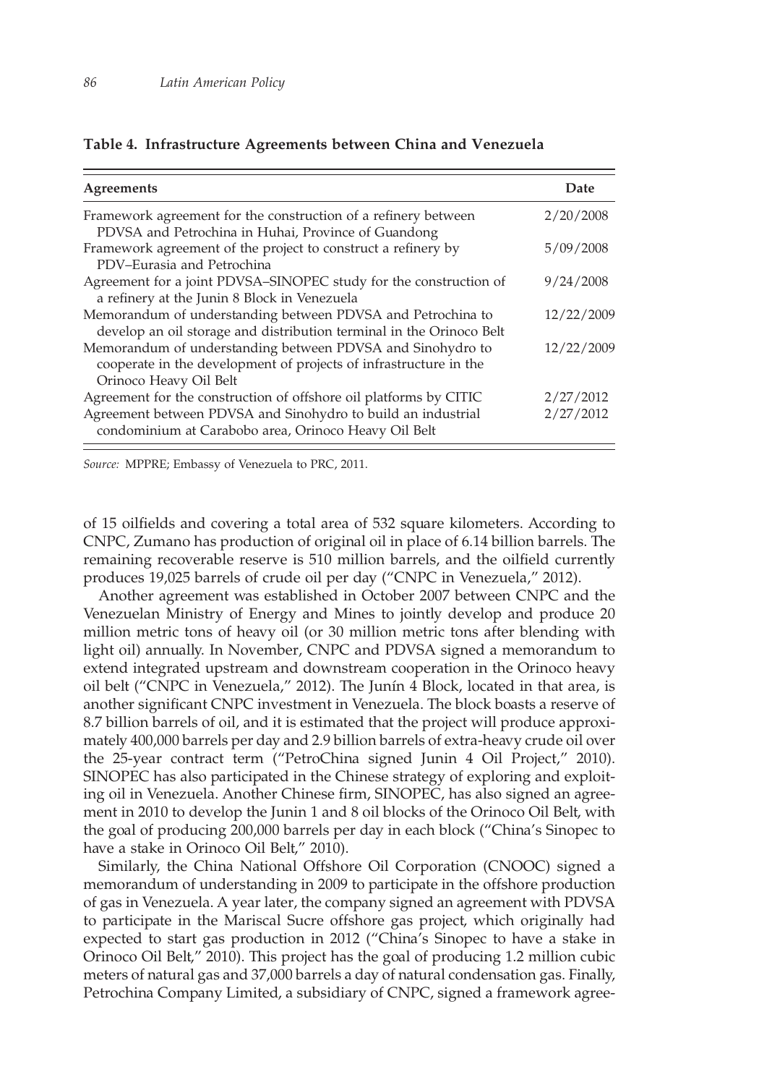| Agreements                                                           | Date       |
|----------------------------------------------------------------------|------------|
| Framework agreement for the construction of a refinery between       | 2/20/2008  |
| PDVSA and Petrochina in Huhai, Province of Guandong                  |            |
| Framework agreement of the project to construct a refinery by        | 5/09/2008  |
| PDV-Eurasia and Petrochina                                           |            |
| Agreement for a joint PDVSA-SINOPEC study for the construction of    | 9/24/2008  |
| a refinery at the Junin 8 Block in Venezuela                         |            |
| Memorandum of understanding between PDVSA and Petrochina to          | 12/22/2009 |
| develop an oil storage and distribution terminal in the Orinoco Belt |            |
| Memorandum of understanding between PDVSA and Sinohydro to           | 12/22/2009 |
| cooperate in the development of projects of infrastructure in the    |            |
| Orinoco Heavy Oil Belt                                               |            |
| Agreement for the construction of offshore oil platforms by CITIC    | 2/27/2012  |
| Agreement between PDVSA and Sinohydro to build an industrial         | 2/27/2012  |
| condominium at Carabobo area, Orinoco Heavy Oil Belt                 |            |

**Table 4. Infrastructure Agreements between China and Venezuela**

*Source:* MPPRE; Embassy of Venezuela to PRC, 2011.

of 15 oilfields and covering a total area of 532 square kilometers. According to CNPC, Zumano has production of original oil in place of 6.14 billion barrels. The remaining recoverable reserve is 510 million barrels, and the oilfield currently produces 19,025 barrels of crude oil per day ("CNPC in Venezuela," 2012).

Another agreement was established in October 2007 between CNPC and the Venezuelan Ministry of Energy and Mines to jointly develop and produce 20 million metric tons of heavy oil (or 30 million metric tons after blending with light oil) annually. In November, CNPC and PDVSA signed a memorandum to extend integrated upstream and downstream cooperation in the Orinoco heavy oil belt ("CNPC in Venezuela," 2012). The Junín 4 Block, located in that area, is another significant CNPC investment in Venezuela. The block boasts a reserve of 8.7 billion barrels of oil, and it is estimated that the project will produce approximately 400,000 barrels per day and 2.9 billion barrels of extra-heavy crude oil over the 25-year contract term ("PetroChina signed Junin 4 Oil Project," 2010). SINOPEC has also participated in the Chinese strategy of exploring and exploiting oil in Venezuela. Another Chinese firm, SINOPEC, has also signed an agreement in 2010 to develop the Junin 1 and 8 oil blocks of the Orinoco Oil Belt, with the goal of producing 200,000 barrels per day in each block ("China's Sinopec to have a stake in Orinoco Oil Belt," 2010).

Similarly, the China National Offshore Oil Corporation (CNOOC) signed a memorandum of understanding in 2009 to participate in the offshore production of gas in Venezuela. A year later, the company signed an agreement with PDVSA to participate in the Mariscal Sucre offshore gas project, which originally had expected to start gas production in 2012 ("China's Sinopec to have a stake in Orinoco Oil Belt," 2010). This project has the goal of producing 1.2 million cubic meters of natural gas and 37,000 barrels a day of natural condensation gas. Finally, Petrochina Company Limited, a subsidiary of CNPC, signed a framework agree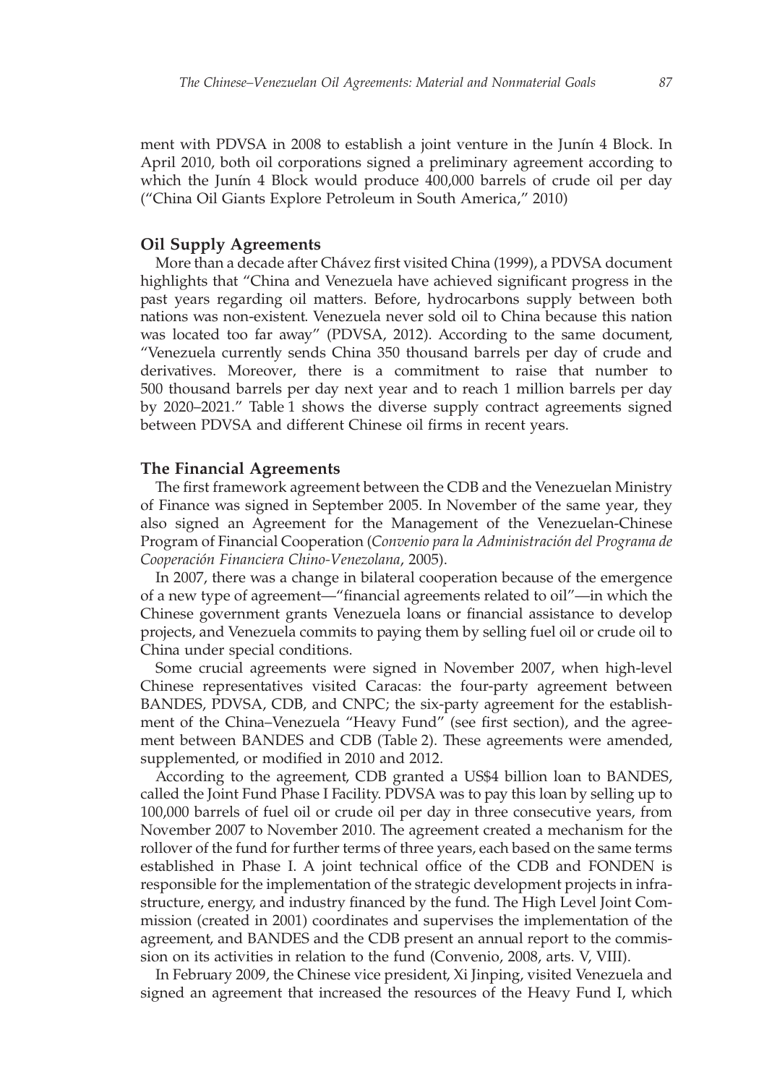ment with PDVSA in 2008 to establish a joint venture in the Junín 4 Block. In April 2010, both oil corporations signed a preliminary agreement according to which the Junín 4 Block would produce 400,000 barrels of crude oil per day ("China Oil Giants Explore Petroleum in South America," 2010)

#### **Oil Supply Agreements**

More than a decade after Chávez first visited China (1999), a PDVSA document highlights that "China and Venezuela have achieved significant progress in the past years regarding oil matters. Before, hydrocarbons supply between both nations was non-existent. Venezuela never sold oil to China because this nation was located too far away" (PDVSA, 2012). According to the same document, "Venezuela currently sends China 350 thousand barrels per day of crude and derivatives. Moreover, there is a commitment to raise that number to 500 thousand barrels per day next year and to reach 1 million barrels per day by 2020–2021." Table 1 shows the diverse supply contract agreements signed between PDVSA and different Chinese oil firms in recent years.

#### **The Financial Agreements**

The first framework agreement between the CDB and the Venezuelan Ministry of Finance was signed in September 2005. In November of the same year, they also signed an Agreement for the Management of the Venezuelan-Chinese Program of Financial Cooperation (*Convenio para la Administración del Programa de Cooperación Financiera Chino-Venezolana*, 2005).

In 2007, there was a change in bilateral cooperation because of the emergence of a new type of agreement—"financial agreements related to oil"—in which the Chinese government grants Venezuela loans or financial assistance to develop projects, and Venezuela commits to paying them by selling fuel oil or crude oil to China under special conditions.

Some crucial agreements were signed in November 2007, when high-level Chinese representatives visited Caracas: the four-party agreement between BANDES, PDVSA, CDB, and CNPC; the six-party agreement for the establishment of the China–Venezuela "Heavy Fund" (see first section), and the agreement between BANDES and CDB (Table 2). These agreements were amended, supplemented, or modified in 2010 and 2012.

According to the agreement, CDB granted a US\$4 billion loan to BANDES, called the Joint Fund Phase I Facility. PDVSA was to pay this loan by selling up to 100,000 barrels of fuel oil or crude oil per day in three consecutive years, from November 2007 to November 2010. The agreement created a mechanism for the rollover of the fund for further terms of three years, each based on the same terms established in Phase I. A joint technical office of the CDB and FONDEN is responsible for the implementation of the strategic development projects in infrastructure, energy, and industry financed by the fund. The High Level Joint Commission (created in 2001) coordinates and supervises the implementation of the agreement, and BANDES and the CDB present an annual report to the commission on its activities in relation to the fund (Convenio, 2008, arts. V, VIII).

In February 2009, the Chinese vice president, Xi Jinping, visited Venezuela and signed an agreement that increased the resources of the Heavy Fund I, which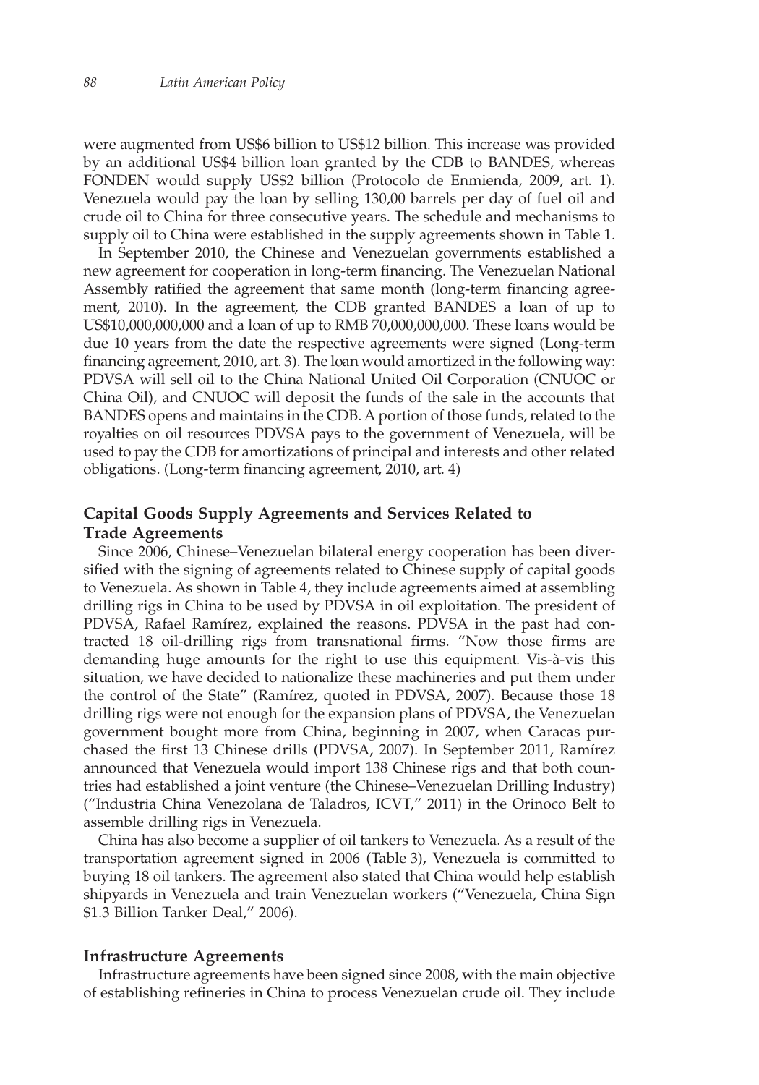were augmented from US\$6 billion to US\$12 billion. This increase was provided by an additional US\$4 billion loan granted by the CDB to BANDES, whereas FONDEN would supply US\$2 billion (Protocolo de Enmienda, 2009, art. 1). Venezuela would pay the loan by selling 130,00 barrels per day of fuel oil and crude oil to China for three consecutive years. The schedule and mechanisms to supply oil to China were established in the supply agreements shown in Table 1.

In September 2010, the Chinese and Venezuelan governments established a new agreement for cooperation in long-term financing. The Venezuelan National Assembly ratified the agreement that same month (long-term financing agreement, 2010). In the agreement, the CDB granted BANDES a loan of up to US\$10,000,000,000 and a loan of up to RMB 70,000,000,000. These loans would be due 10 years from the date the respective agreements were signed (Long-term financing agreement, 2010, art. 3). The loan would amortized in the following way: PDVSA will sell oil to the China National United Oil Corporation (CNUOC or China Oil), and CNUOC will deposit the funds of the sale in the accounts that BANDES opens and maintains in the CDB. A portion of those funds, related to the royalties on oil resources PDVSA pays to the government of Venezuela, will be used to pay the CDB for amortizations of principal and interests and other related obligations. (Long-term financing agreement, 2010, art. 4)

### **Capital Goods Supply Agreements and Services Related to Trade Agreements**

Since 2006, Chinese–Venezuelan bilateral energy cooperation has been diversified with the signing of agreements related to Chinese supply of capital goods to Venezuela. As shown in Table 4, they include agreements aimed at assembling drilling rigs in China to be used by PDVSA in oil exploitation. The president of PDVSA, Rafael Ramírez, explained the reasons. PDVSA in the past had contracted 18 oil-drilling rigs from transnational firms. "Now those firms are demanding huge amounts for the right to use this equipment. Vis-à-vis this situation, we have decided to nationalize these machineries and put them under the control of the State" (Ramírez, quoted in PDVSA, 2007). Because those 18 drilling rigs were not enough for the expansion plans of PDVSA, the Venezuelan government bought more from China, beginning in 2007, when Caracas purchased the first 13 Chinese drills (PDVSA, 2007). In September 2011, Ramírez announced that Venezuela would import 138 Chinese rigs and that both countries had established a joint venture (the Chinese–Venezuelan Drilling Industry) ("Industria China Venezolana de Taladros, ICVT," 2011) in the Orinoco Belt to assemble drilling rigs in Venezuela.

China has also become a supplier of oil tankers to Venezuela. As a result of the transportation agreement signed in 2006 (Table 3), Venezuela is committed to buying 18 oil tankers. The agreement also stated that China would help establish shipyards in Venezuela and train Venezuelan workers ("Venezuela, China Sign \$1.3 Billion Tanker Deal," 2006).

#### **Infrastructure Agreements**

Infrastructure agreements have been signed since 2008, with the main objective of establishing refineries in China to process Venezuelan crude oil. They include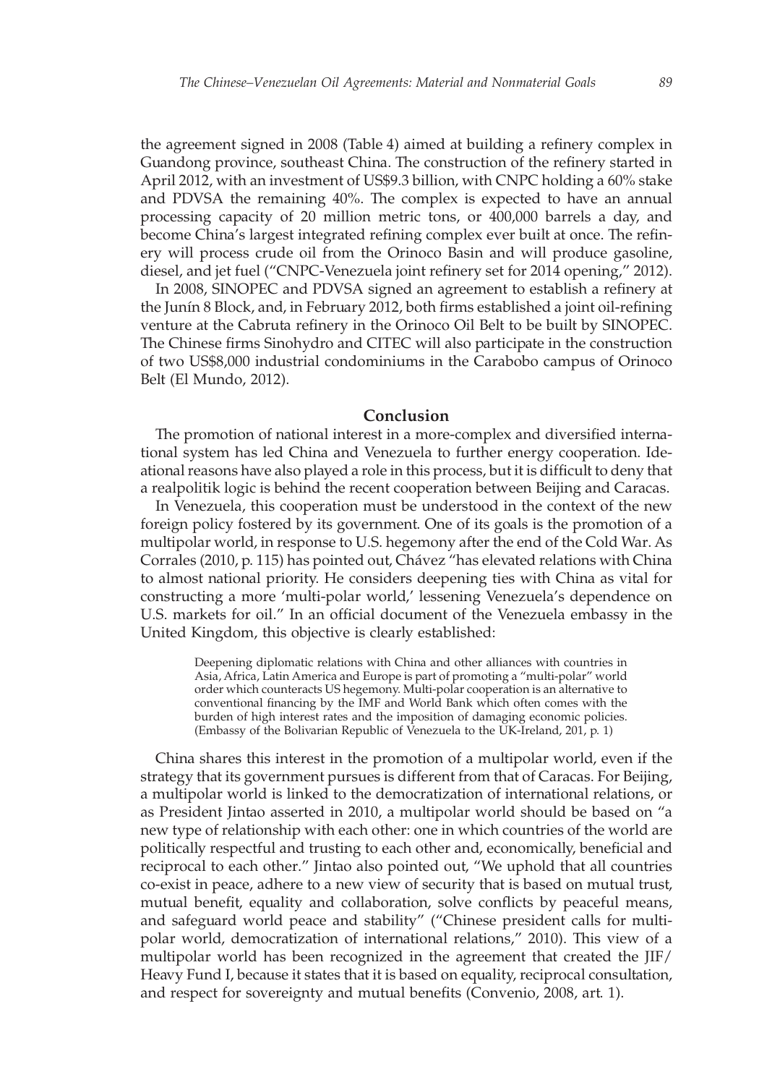the agreement signed in 2008 (Table 4) aimed at building a refinery complex in Guandong province, southeast China. The construction of the refinery started in April 2012, with an investment of US\$9.3 billion, with CNPC holding a 60% stake and PDVSA the remaining 40%. The complex is expected to have an annual processing capacity of 20 million metric tons, or 400,000 barrels a day, and become China's largest integrated refining complex ever built at once. The refinery will process crude oil from the Orinoco Basin and will produce gasoline, diesel, and jet fuel ("CNPC-Venezuela joint refinery set for 2014 opening," 2012).

In 2008, SINOPEC and PDVSA signed an agreement to establish a refinery at the Junín 8 Block, and, in February 2012, both firms established a joint oil-refining venture at the Cabruta refinery in the Orinoco Oil Belt to be built by SINOPEC. The Chinese firms Sinohydro and CITEC will also participate in the construction of two US\$8,000 industrial condominiums in the Carabobo campus of Orinoco Belt (El Mundo, 2012).

#### **Conclusion**

The promotion of national interest in a more-complex and diversified international system has led China and Venezuela to further energy cooperation. Ideational reasons have also played a role in this process, but it is difficult to deny that a realpolitik logic is behind the recent cooperation between Beijing and Caracas.

In Venezuela, this cooperation must be understood in the context of the new foreign policy fostered by its government. One of its goals is the promotion of a multipolar world, in response to U.S. hegemony after the end of the Cold War. As Corrales (2010, p. 115) has pointed out, Chávez "has elevated relations with China to almost national priority. He considers deepening ties with China as vital for constructing a more 'multi-polar world,' lessening Venezuela's dependence on U.S. markets for oil." In an official document of the Venezuela embassy in the United Kingdom, this objective is clearly established:

Deepening diplomatic relations with China and other alliances with countries in Asia, Africa, Latin America and Europe is part of promoting a "multi-polar" world order which counteracts US hegemony. Multi-polar cooperation is an alternative to conventional financing by the IMF and World Bank which often comes with the burden of high interest rates and the imposition of damaging economic policies. (Embassy of the Bolivarian Republic of Venezuela to the UK-Ireland, 201, p. 1)

China shares this interest in the promotion of a multipolar world, even if the strategy that its government pursues is different from that of Caracas. For Beijing, a multipolar world is linked to the democratization of international relations, or as President Jintao asserted in 2010, a multipolar world should be based on "a new type of relationship with each other: one in which countries of the world are politically respectful and trusting to each other and, economically, beneficial and reciprocal to each other." Jintao also pointed out, "We uphold that all countries co-exist in peace, adhere to a new view of security that is based on mutual trust, mutual benefit, equality and collaboration, solve conflicts by peaceful means, and safeguard world peace and stability" ("Chinese president calls for multipolar world, democratization of international relations," 2010). This view of a multipolar world has been recognized in the agreement that created the JIF/ Heavy Fund I, because it states that it is based on equality, reciprocal consultation, and respect for sovereignty and mutual benefits (Convenio, 2008, art. 1).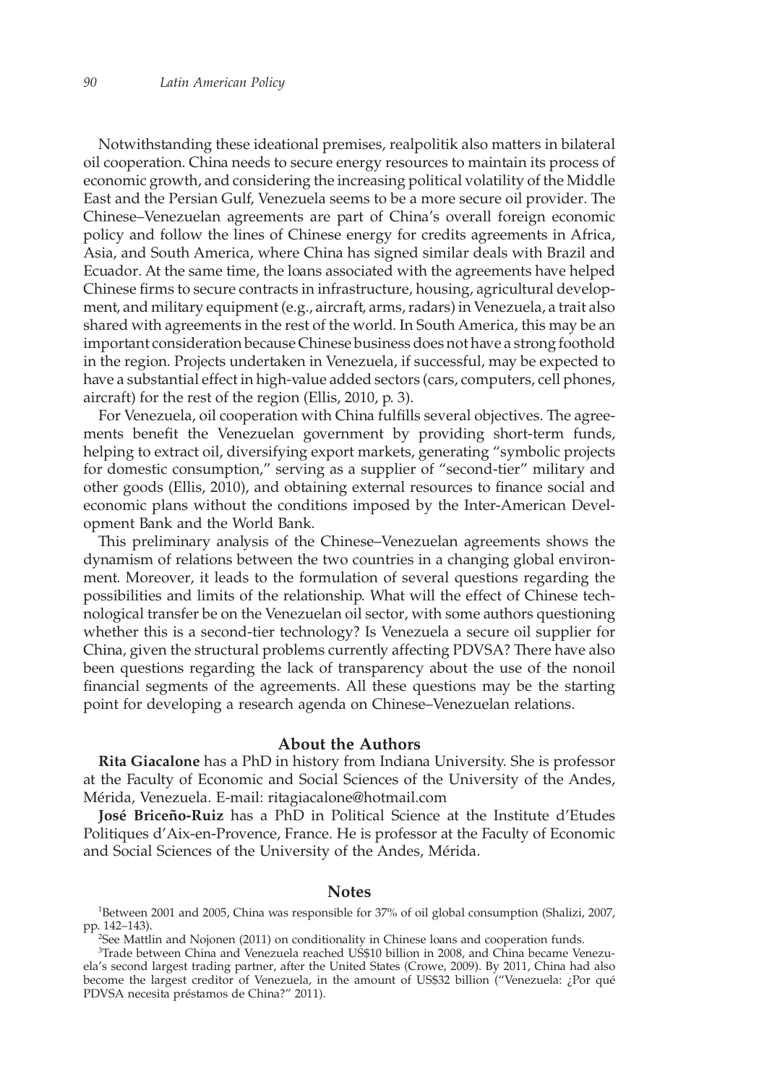Notwithstanding these ideational premises, realpolitik also matters in bilateral oil cooperation. China needs to secure energy resources to maintain its process of economic growth, and considering the increasing political volatility of the Middle East and the Persian Gulf, Venezuela seems to be a more secure oil provider. The Chinese–Venezuelan agreements are part of China's overall foreign economic policy and follow the lines of Chinese energy for credits agreements in Africa, Asia, and South America, where China has signed similar deals with Brazil and Ecuador. At the same time, the loans associated with the agreements have helped Chinese firms to secure contracts in infrastructure, housing, agricultural development, and military equipment (e.g., aircraft, arms, radars) in Venezuela, a trait also shared with agreements in the rest of the world. In South America, this may be an important consideration because Chinese business does not have a strong foothold in the region. Projects undertaken in Venezuela, if successful, may be expected to have a substantial effect in high-value added sectors (cars, computers, cell phones, aircraft) for the rest of the region (Ellis, 2010, p. 3).

For Venezuela, oil cooperation with China fulfills several objectives. The agreements benefit the Venezuelan government by providing short-term funds, helping to extract oil, diversifying export markets, generating "symbolic projects for domestic consumption," serving as a supplier of "second-tier" military and other goods (Ellis, 2010), and obtaining external resources to finance social and economic plans without the conditions imposed by the Inter-American Development Bank and the World Bank.

This preliminary analysis of the Chinese–Venezuelan agreements shows the dynamism of relations between the two countries in a changing global environment. Moreover, it leads to the formulation of several questions regarding the possibilities and limits of the relationship. What will the effect of Chinese technological transfer be on the Venezuelan oil sector, with some authors questioning whether this is a second-tier technology? Is Venezuela a secure oil supplier for China, given the structural problems currently affecting PDVSA? There have also been questions regarding the lack of transparency about the use of the nonoil financial segments of the agreements. All these questions may be the starting point for developing a research agenda on Chinese–Venezuelan relations.

#### **About the Authors**

**Rita Giacalone** has a PhD in history from Indiana University. She is professor at the Faculty of Economic and Social Sciences of the University of the Andes, Mérida, Venezuela. E-mail: ritagiacalone@hotmail.com

**José Briceño-Ruiz** has a PhD in Political Science at the Institute d'Etudes Politiques d'Aix-en-Provence, France. He is professor at the Faculty of Economic and Social Sciences of the University of the Andes, Mérida.

#### **Notes**

1 Between 2001 and 2005, China was responsible for 37% of oil global consumption (Shalizi, 2007, pp. 142–143).

2 See Mattlin and Nojonen (2011) on conditionality in Chinese loans and cooperation funds.

3 Trade between China and Venezuela reached US\$10 billion in 2008, and China became Venezuela's second largest trading partner, after the United States (Crowe, 2009). By 2011, China had also become the largest creditor of Venezuela, in the amount of US\$32 billion ("Venezuela: ¿Por qué PDVSA necesita préstamos de China?" 2011).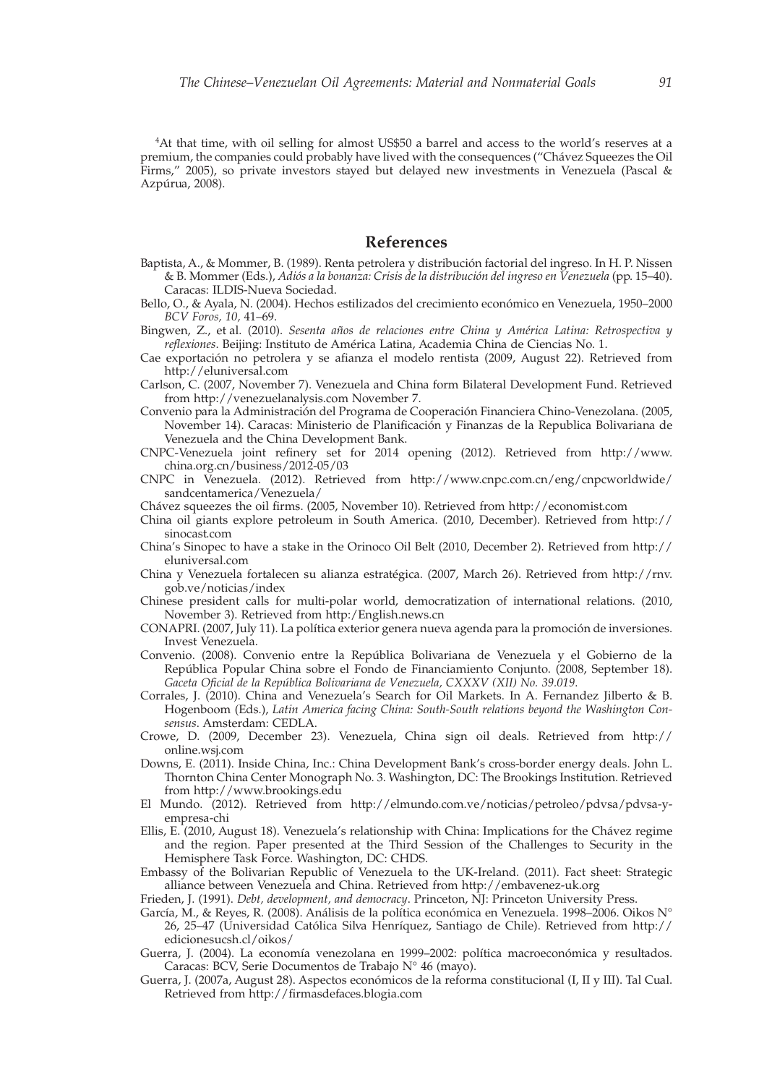4 At that time, with oil selling for almost US\$50 a barrel and access to the world's reserves at a premium, the companies could probably have lived with the consequences ("Chávez Squeezes the Oil Firms," 2005), so private investors stayed but delayed new investments in Venezuela (Pascal & Azpúrua, 2008).

#### **References**

- Baptista, A., & Mommer, B. (1989). Renta petrolera y distribución factorial del ingreso. In H. P. Nissen & B. Mommer (Eds.), *Adiós a la bonanza: Crisis de la distribución del ingreso en Venezuela* (pp. 15–40). Caracas: ILDIS-Nueva Sociedad.
- Bello, O., & Ayala, N. (2004). Hechos estilizados del crecimiento económico en Venezuela, 1950–2000 *BCV Foros, 10,* 41–69.
- Bingwen, Z., et al. (2010). *Sesenta años de relaciones entre China y América Latina: Retrospectiva y reflexiones*. Beijing: Instituto de América Latina, Academia China de Ciencias No. 1.
- Cae exportación no petrolera y se afianza el modelo rentista (2009, August 22). Retrieved from http://eluniversal.com
- Carlson, C. (2007, November 7). Venezuela and China form Bilateral Development Fund. Retrieved from http://venezuelanalysis.com November 7.
- Convenio para la Administración del Programa de Cooperación Financiera Chino-Venezolana. (2005, November 14). Caracas: Ministerio de Planificación y Finanzas de la Republica Bolivariana de Venezuela and the China Development Bank.
- CNPC-Venezuela joint refinery set for 2014 opening (2012). Retrieved from http://www. china.org.cn/business/2012-05/03
- CNPC in Venezuela. (2012). Retrieved from http://www.cnpc.com.cn/eng/cnpcworldwide/ sandcentamerica/Venezuela/
- Chávez squeezes the oil firms. (2005, November 10). Retrieved from http://economist.com
- China oil giants explore petroleum in South America. (2010, December). Retrieved from http:// sinocast.com
- China's Sinopec to have a stake in the Orinoco Oil Belt (2010, December 2). Retrieved from http:// eluniversal.com
- China y Venezuela fortalecen su alianza estratégica. (2007, March 26). Retrieved from http://rnv. gob.ve/noticias/index
- Chinese president calls for multi-polar world, democratization of international relations. (2010, November 3). Retrieved from http:/English.news.cn
- CONAPRI. (2007, July 11). La política exterior genera nueva agenda para la promoción de inversiones. Invest Venezuela.
- Convenio. (2008). Convenio entre la República Bolivariana de Venezuela y el Gobierno de la República Popular China sobre el Fondo de Financiamiento Conjunto. (2008, September 18). *Gaceta Oficial de la República Bolivariana de Venezuela, CXXXV (XII) No. 39.019*.
- Corrales, J. (2010). China and Venezuela's Search for Oil Markets. In A. Fernandez Jilberto & B. Hogenboom (Eds.), *Latin America facing China: South-South relations beyond the Washington Consensus*. Amsterdam: CEDLA.
- Crowe, D. (2009, December 23). Venezuela, China sign oil deals. Retrieved from http:// online.wsj.com
- Downs, E. (2011). Inside China, Inc.: China Development Bank's cross-border energy deals. John L. Thornton China Center Monograph No. 3. Washington, DC: The Brookings Institution. Retrieved from http://www.brookings.edu
- El Mundo. (2012). Retrieved from http://elmundo.com.ve/noticias/petroleo/pdvsa/pdvsa-yempresa-chi
- Ellis, E. (2010, August 18). Venezuela's relationship with China: Implications for the Chávez regime and the region. Paper presented at the Third Session of the Challenges to Security in the Hemisphere Task Force. Washington, DC: CHDS.
- Embassy of the Bolivarian Republic of Venezuela to the UK-Ireland. (2011). Fact sheet: Strategic alliance between Venezuela and China. Retrieved from http://embavenez-uk.org
- Frieden, J. (1991). *Debt, development, and democracy*. Princeton, NJ: Princeton University Press.
- García, M., & Reyes, R. (2008). Análisis de la política económica en Venezuela. 1998–2006. Oikos N° 26, 25–47 (Universidad Católica Silva Henríquez, Santiago de Chile). Retrieved from http:// edicionesucsh.cl/oikos/
- Guerra, J. (2004). La economía venezolana en 1999–2002: política macroeconómica y resultados. Caracas: BCV, Serie Documentos de Trabajo N° 46 (mayo).
- Guerra, J. (2007a, August 28). Aspectos económicos de la reforma constitucional (I, II y III). Tal Cual. Retrieved from http://firmasdefaces.blogia.com